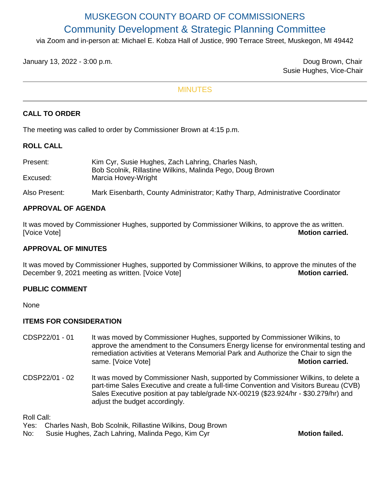# MUSKEGON COUNTY BOARD OF COMMISSIONERS Community Development & Strategic Planning Committee

via Zoom and in-person at: Michael E. Kobza Hall of Justice, 990 Terrace Street, Muskegon, MI 49442

January 13, 2022 - 3:00 p.m. Doug Brown, Chair

Susie Hughes, Vice-Chair

## MINUTES

## **CALL TO ORDER**

The meeting was called to order by Commissioner Brown at 4:15 p.m.

#### **ROLL CALL**

| Present:      | Kim Cyr, Susie Hughes, Zach Lahring, Charles Nash,<br>Bob Scolnik, Rillastine Wilkins, Malinda Pego, Doug Brown |
|---------------|-----------------------------------------------------------------------------------------------------------------|
| Excused:      | Marcia Hovey-Wright                                                                                             |
| Also Present: | Mark Eisenbarth, County Administrator; Kathy Tharp, Administrative Coordinator                                  |

## **APPROVAL OF AGENDA**

It was moved by Commissioner Hughes, supported by Commissioner Wilkins, to approve the as written. [Voice Vote] **Motion carried.**

#### **APPROVAL OF MINUTES**

It was moved by Commissioner Hughes, supported by Commissioner Wilkins, to approve the minutes of the December 9, 2021 meeting as written. [Voice Vote] **Motion carried.** Motion carried.

#### **PUBLIC COMMENT**

None

#### **ITEMS FOR CONSIDERATION**

- CDSP22/01 01 It was moved by Commissioner Hughes, supported by Commissioner Wilkins, to approve the amendment to the Consumers Energy license for environmental testing and remediation activities at Veterans Memorial Park and Authorize the Chair to sign the same. [Voice Vote] **Motion carried.**
- CDSP22/01 02 It was moved by Commissioner Nash, supported by Commissioner Wilkins, to delete a part-time Sales Executive and create a full-time Convention and Visitors Bureau (CVB) Sales Executive position at pay table/grade NX-00219 (\$23.924/hr - \$30.279/hr) and adjust the budget accordingly.

Roll Call:

- Yes: Charles Nash, Bob Scolnik, Rillastine Wilkins, Doug Brown
- No: Susie Hughes, Zach Lahring, Malinda Pego, Kim Cyr **Mothan Mothan Failed.**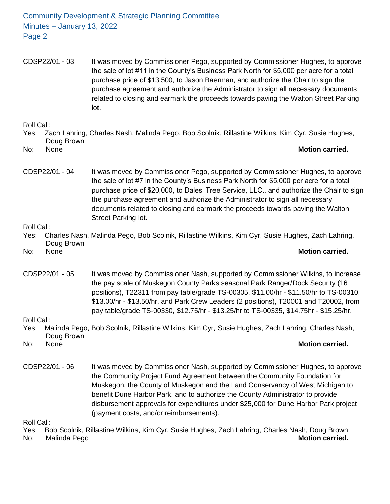Community Development & Strategic Planning Committee Minutes – January 13, 2022 Page 2

CDSP22/01 - 03 It was moved by Commissioner Pego, supported by Commissioner Hughes, to approve the sale of lot #11 in the County's Business Park North for \$5,000 per acre for a total purchase price of \$13,500, to Jason Baerman, and authorize the Chair to sign the purchase agreement and authorize the Administrator to sign all necessary documents related to closing and earmark the proceeds towards paving the Walton Street Parking lot.

Roll Call:

- Yes: Zach Lahring, Charles Nash, Malinda Pego, Bob Scolnik, Rillastine Wilkins, Kim Cyr, Susie Hughes, Doug Brown No: None **Motion carried.**
- 

CDSP22/01 - 04 It was moved by Commissioner Pego, supported by Commissioner Hughes, to approve the sale of lot #7 in the County's Business Park North for \$5,000 per acre for a total purchase price of \$20,000, to Dales' Tree Service, LLC., and authorize the Chair to sign the purchase agreement and authorize the Administrator to sign all necessary documents related to closing and earmark the proceeds towards paving the Walton Street Parking lot.

Roll Call:

Yes: Charles Nash, Malinda Pego, Bob Scolnik, Rillastine Wilkins, Kim Cyr, Susie Hughes, Zach Lahring, Doug Brown No: None **Motion carried.**

CDSP22/01 - 05 It was moved by Commissioner Nash, supported by Commissioner Wilkins, to increase the pay scale of Muskegon County Parks seasonal Park Ranger/Dock Security (16 positions), T22311 from pay table/grade TS-00305, \$11.00/hr - \$11.50/hr to TS-00310, \$13.00/hr - \$13.50/hr, and Park Crew Leaders (2 positions), T20001 and T20002, from pay table/grade TS-00330, \$12.75/hr - \$13.25/hr to TS-00335, \$14.75hr - \$15.25/hr.

Roll Call:

- Yes: Malinda Pego, Bob Scolnik, Rillastine Wilkins, Kim Cyr, Susie Hughes, Zach Lahring, Charles Nash, Doug Brown No: None **Motion carried.**
- CDSP22/01 06 It was moved by Commissioner Nash, supported by Commissioner Hughes, to approve the Community Project Fund Agreement between the Community Foundation for Muskegon, the County of Muskegon and the Land Conservancy of West Michigan to benefit Dune Harbor Park, and to authorize the County Administrator to provide disbursement approvals for expenditures under \$25,000 for Dune Harbor Park project (payment costs, and/or reimbursements).

Roll Call:

Yes: Bob Scolnik, Rillastine Wilkins, Kim Cyr, Susie Hughes, Zach Lahring, Charles Nash, Doug Brown No: Malinda Pego **Motion carried.**